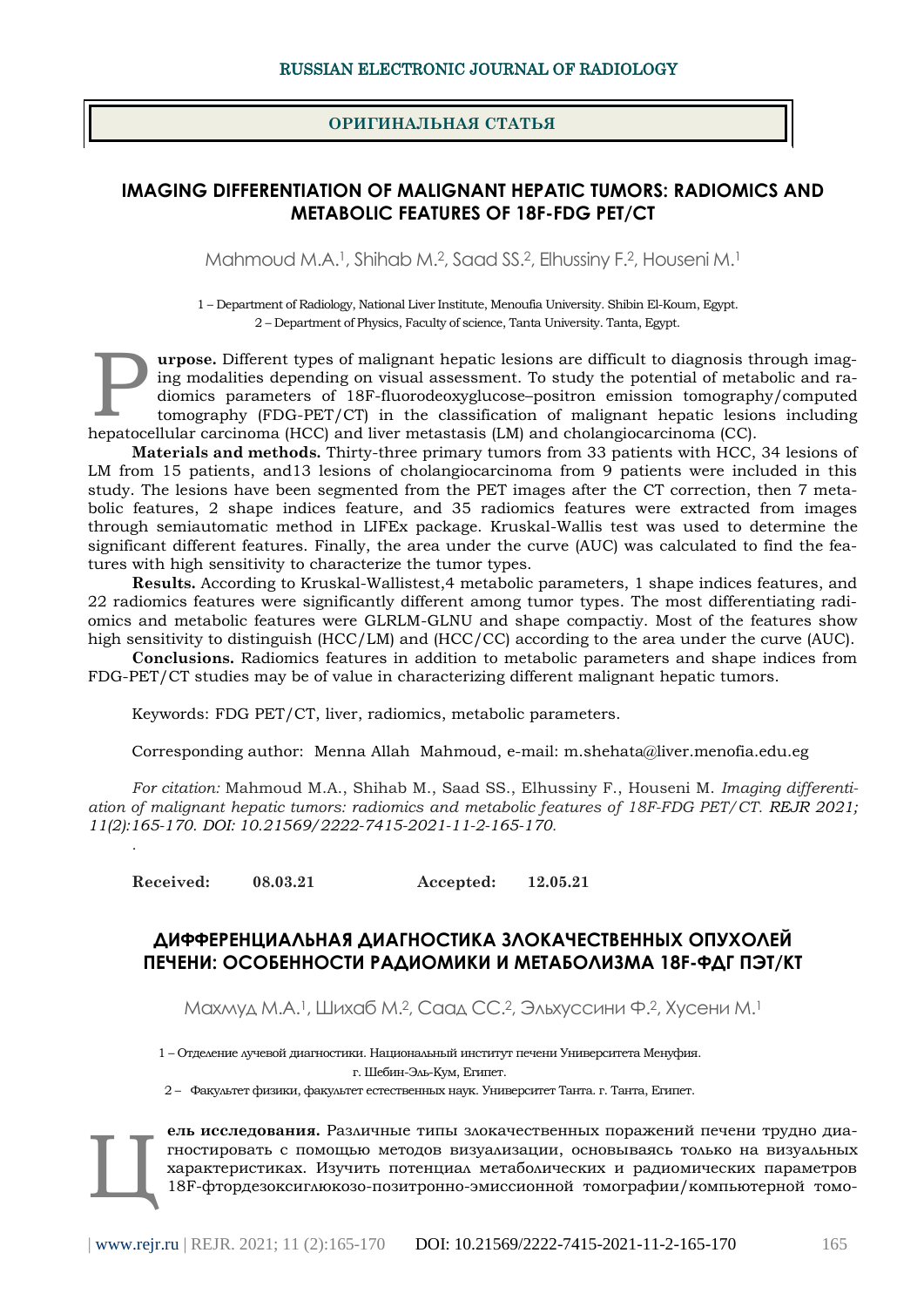## **ОРИГИНАЛЬНАЯ СТАТЬЯ**

# **IMAGING DIFFERENTIATION OF MALIGNANT HEPATIC TUMORS: RADIOMICS AND METABOLIC FEATURES OF 18F-FDG PET/CT**

Mahmoud M.A.1, Shihab M.2, Saad SS.2, Elhussiny F.2, Houseni M.<sup>1</sup>

1 – Department of Radiology, National Liver Institute, Menoufia University. Shibin El-Koum, Egypt. 2 – Department of Physics, Faculty of science, Tanta University. Tanta, Egypt.

**urpose.** Different types of malignant hepatic lesions are difficult to diagnosis through imaging modalities depending on visual assessment. To study the potential of metabolic and radiomics parameters of 18F-fluorodeoxyglucose–positron emission tomography/computed tomography (FDG-PET/CT) in the classification of malignant hepatic lesions including hepatocellular carcinoma (HCC) and liver metastasis (LM) and cholangiocarcinoma (CC). P

**Materials and methods.** Thirty-three primary tumors from 33 patients with HCC, 34 lesions of LM from 15 patients, and13 lesions of cholangiocarcinoma from 9 patients were included in this study. The lesions have been segmented from the PET images after the CT correction, then 7 metabolic features, 2 shape indices feature, and 35 radiomics features were extracted from images through semiautomatic method in LIFEx package. Kruskal-Wallis test was used to determine the significant different features. Finally, the area under the curve (AUC) was calculated to find the features with high sensitivity to characterize the tumor types.

**Results.** According to Kruskal-Wallistest,4 metabolic parameters, 1 shape indices features, and 22 radiomics features were significantly different among tumor types. The most differentiating radiomics and metabolic features were GLRLM-GLNU and shape compactiy. Most of the features show high sensitivity to distinguish (HCC/LM) and (HCC/CC) according to the area under the curve (AUC).

**Conclusions.** Radiomics features in addition to metabolic parameters and shape indices from FDG-PET/CT studies may be of value in characterizing different malignant hepatic tumors.

Keywords: FDG PET/CT, liver, radiomics, metabolic parameters.

Corresponding author: Menna Allah Mahmoud, e-mail: m.shehata@liver.menofia.edu.eg

*For citation:* Mahmoud M.A., Shihab M., Saad SS., Elhussiny F., Houseni M. *Imaging differentiation of malignant hepatic tumors: radiomics and metabolic features of 18F-FDG PET/CT. REJR 2021; 11(2):165-170. DOI: 10.21569/2222-7415-2021-11-2-165-170.*

**Received: 08.03.21 Accepted: 12.05.21**

*.*

# **ДИФФЕРЕНЦИАЛЬНАЯ ДИАГНОСТИКА ЗЛОКАЧЕСТВЕННЫХ ОПУХОЛЕЙ ПЕЧЕНИ: ОСОБЕННОСТИ РАДИОМИКИ И МЕТАБОЛИЗМА 18F-ФДГ ПЭТ/КТ**

Махмуд М.А.1, Шихаб М.2, Саад СС.2, Эльхуссини Ф.2, Хусени М.<sup>1</sup>

1 – Отделение лучевой диагностики. Национальный институт печени Университета Менуфия. г. Шебин-Эль-Кум, Египет.

2 – Факультет физики, факультет естественных наук. Университет Танта. г. Танта, Египет.

**ель исследования.** Различные типы злокачественных поражений печени трудно диагностировать с помощью методов визуализации, основываясь только на визуальных характеристиках. Изучить потенциал метаболических и радиомических параметров 18F-фтордезоксиглюкозо-позитронно-эмиссионной томографии/компьютерной томо-Ц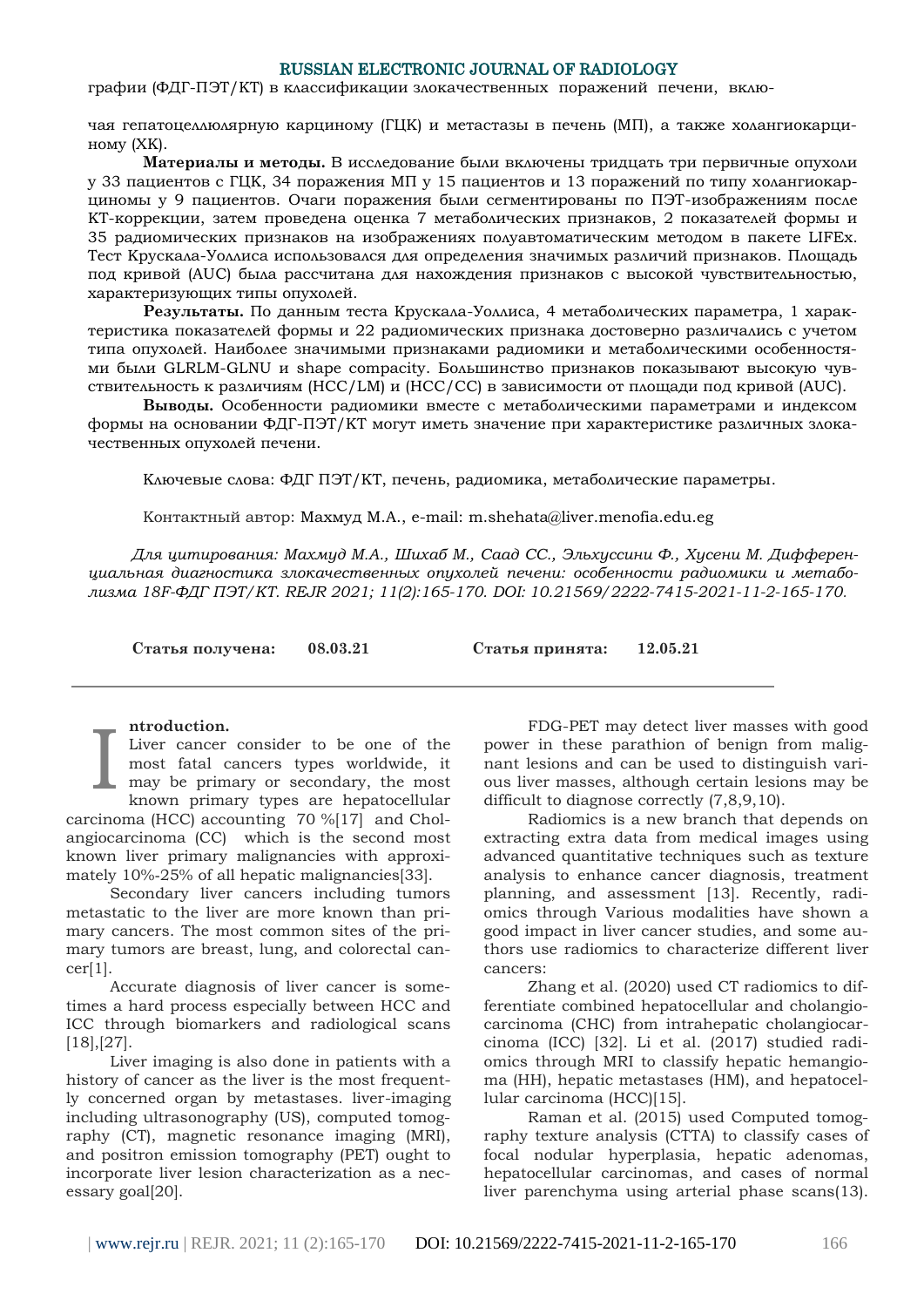#### RUSSIAN ELECTRONIC JOURNAL OF RADIOLOGY

графии (ФДГ-ПЭТ/КТ) в классификации злокачественных поражений печени, вклю-

чая гепатоцеллюлярную карциному (ГЦК) и метастазы в печень (МП), а также холангиокарциному (ХК).

**Материалы и методы.** В исследование были включены тридцать три первичные опухоли у 33 пациентов с ГЦК, 34 поражения МП у 15 пациентов и 13 поражений по типу холангиокарциномы у 9 пациентов. Очаги поражения были сегментированы по ПЭТ-изображениям после КТ-коррекции, затем проведена оценка 7 метаболических признаков, 2 показателей формы и 35 радиомических признаков на изображениях полуавтоматическим методом в пакете LIFEx. Тест Крускала-Уоллиса использовался для определения значимых различий признаков. Площадь под кривой (AUC) была рассчитана для нахождения признаков с высокой чувствительностью, характеризующих типы опухолей.

**Результаты.** По данным теста Крускала-Уоллиса, 4 метаболических параметра, 1 характеристика показателей формы и 22 радиомических признака достоверно различались с учетом типа опухолей. Наиболее значимыми признаками радиомики и метаболическими особенностями были GLRLM-GLNU и shape compacity. Большинство признаков показывают высокую чувствительность к различиям (HCC/LM) и (HCC/CC) в зависимости от площади под кривой (AUC).

**Выводы.** Особенности радиомики вместе с метаболическими параметрами и индексом формы на основании ФДГ-ПЭТ/КТ могут иметь значение при характеристике различных злокачественных опухолей печени.

Ключевые слова: ФДГ ПЭТ/КТ, печень, радиомика, метаболические параметры.

Контактный автор: Махмуд М.А., e-mail: m.shehata@liver.menofia.edu.eg

*Для цитирования: Махмуд М.А., Шихаб М., Саад СС., Эльхуссини Ф., Хусени М. Дифференциальная диагностика злокачественных опухолей печени: особенности радиомики и метаболизма 18F-ФДГ ПЭТ/КТ. REJR 2021; 11(2):165-170. DOI: 10.21569/2222-7415-2021-11-2-165-170.*

**Статья получена: 08.03.21 Статья принята: 12.05.21**

#### **ntroduction.**

Liver cancer consider to be one of the most fatal cancers types worldwide, it may be primary or secondary, the most known primary types are hepatocellular carcinoma (HCC) accounting 70 %[17] and Cholangiocarcinoma (CC) which is the second most known liver primary malignancies with approximately 10%‐25% of all hepatic malignancies[33]. I

Secondary liver cancers including tumors metastatic to the liver are more known than primary cancers. The most common sites of the primary tumors are breast, lung, and colorectal can $cer[1]$ .

Accurate diagnosis of liver cancer is sometimes a hard process especially between HCC and ICC through biomarkers and radiological scans [18],[27].

Liver imaging is also done in patients with a history of cancer as the liver is the most frequently concerned organ by metastases. liver-imaging including ultrasonography (US), computed tomography (CT), magnetic resonance imaging (MRI), and positron emission tomography (PET) ought to incorporate liver lesion characterization as a necessary goal[20].

FDG-PET may detect liver masses with good power in these parathion of benign from malignant lesions and can be used to distinguish various liver masses, although certain lesions may be difficult to diagnose correctly (7,8,9,10).

Radiomics is a new branch that depends on extracting extra data from medical images using advanced quantitative techniques such as texture analysis to enhance cancer diagnosis, treatment planning, and assessment [13]. Recently, radiomics through Various modalities have shown a good impact in liver cancer studies, and some authors use radiomics to characterize different liver cancers:

Zhang et al. (2020) used CT radiomics to differentiate combined hepatocellular and cholangiocarcinoma (CHC) from intrahepatic cholangiocarcinoma (ICC) [32]. Li et al. (2017) studied radiomics through MRI to classify hepatic hemangioma (HH), hepatic metastases (HM), and hepatocellular carcinoma (HCC)[15].

Raman et al. (2015) used Computed tomography texture analysis (CTTA) to classify cases of focal nodular hyperplasia, hepatic adenomas, hepatocellular carcinomas, and cases of normal liver parenchyma using arterial phase scans(13).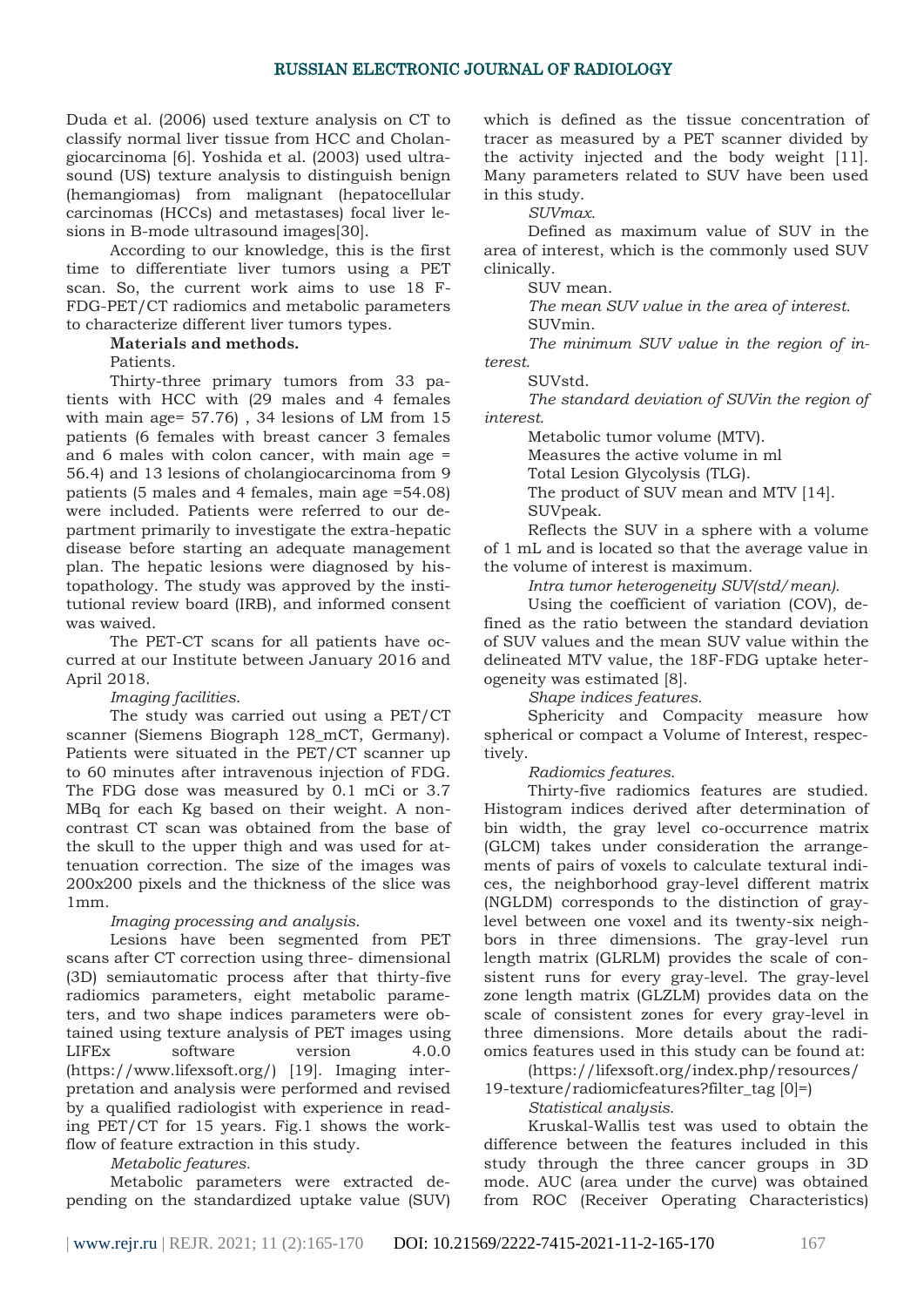Duda et al. (2006) used texture analysis on CT to classify normal liver tissue from HCC and Cholangiocarcinoma [6]. Yoshida et al. (2003) used ultrasound (US) texture analysis to distinguish benign (hemangiomas) from malignant (hepatocellular carcinomas (HCCs) and metastases) focal liver lesions in B-mode ultrasound images[30].

According to our knowledge, this is the first time to differentiate liver tumors using a PET scan. So, the current work aims to use 18 F-FDG-PET/CT radiomics and metabolic parameters to characterize different liver tumors types.

# **Materials and methods.**

Patients.

Thirty-three primary tumors from 33 patients with HCC with (29 males and 4 females with main age= 57.76) , 34 lesions of LM from 15 patients (6 females with breast cancer 3 females and 6 males with colon cancer, with main age = 56.4) and 13 lesions of cholangiocarcinoma from 9 patients (5 males and 4 females, main age =54.08) were included. Patients were referred to our department primarily to investigate the extra-hepatic disease before starting an adequate management plan. The hepatic lesions were diagnosed by histopathology. The study was approved by the institutional review board (IRB), and informed consent was waived.

The PET-CT scans for all patients have occurred at our Institute between January 2016 and April 2018.

## *Imaging facilities*.

The study was carried out using a PET/CT scanner (Siemens Biograph 128\_mCT, Germany). Patients were situated in the PET/CT scanner up to 60 minutes after intravenous injection of FDG. The FDG dose was measured by 0.1 mCi or 3.7 MBq for each Kg based on their weight. A noncontrast CT scan was obtained from the base of the skull to the upper thigh and was used for attenuation correction. The size of the images was 200x200 pixels and the thickness of the slice was 1mm.

# *Imaging processing and analysis*.

Lesions have been segmented from PET scans after CT correction using three- dimensional (3D) semiautomatic process after that thirty-five radiomics parameters, eight metabolic parameters, and two shape indices parameters were obtained using texture analysis of PET images using LIFEx software version 4.0.0 (https://www.lifexsoft.org/) [19]. Imaging interpretation and analysis were performed and revised by a qualified radiologist with experience in reading PET/CT for 15 years. Fig.1 shows the workflow of feature extraction in this study.

## *Metabolic features.*

Metabolic parameters were extracted depending on the standardized uptake value (SUV) which is defined as the tissue concentration of tracer as measured by a PET scanner divided by the activity injected and the body weight [11]. Many parameters related to SUV have been used in this study.

*SUVmax.*

Defined as maximum value of SUV in the area of interest, which is the commonly used SUV clinically.

SUV mean.

*The mean SUV value in the area of interest.*  SUVmin.

*The minimum SUV value in the region of interest.*

SUVstd.

*The standard deviation of SUVin the region of interest.*

Metabolic tumor volume (MTV).

Measures the active volume in ml

Total Lesion Glycolysis (TLG).

The product of SUV mean and MTV [14].

SUVpeak.

Reflects the SUV in a sphere with a volume of 1 mL and is located so that the average value in the volume of interest is maximum.

*Intra tumor heterogeneity SUV(std/mean).*

Using the coefficient of variation (COV), defined as the ratio between the standard deviation of SUV values and the mean SUV value within the delineated MTV value, the 18F-FDG uptake heterogeneity was estimated [8].

*Shape indices features.*

Sphericity and Compacity measure how spherical or compact a Volume of Interest, respectively.

# *Radiomics features.*

Thirty-five radiomics features are studied. Histogram indices derived after determination of bin width, the gray level co-occurrence matrix (GLCM) takes under consideration the arrangements of pairs of voxels to calculate textural indices, the neighborhood gray-level different matrix (NGLDM) corresponds to the distinction of graylevel between one voxel and its twenty-six neighbors in three dimensions. The gray-level run length matrix (GLRLM) provides the scale of consistent runs for every gray-level. The gray-level zone length matrix (GLZLM) provides data on the scale of consistent zones for every gray-level in three dimensions. More details about the radiomics features used in this study can be found at:

(https://lifexsoft.org/index.php/resources/ 19-texture/radiomicfeatures?filter\_tag [0]=)

*Statistical analysis.*

Kruskal-Wallis test was used to obtain the difference between the features included in this study through the three cancer groups in 3D mode. AUC (area under the curve) was obtained from ROC (Receiver Operating Characteristics)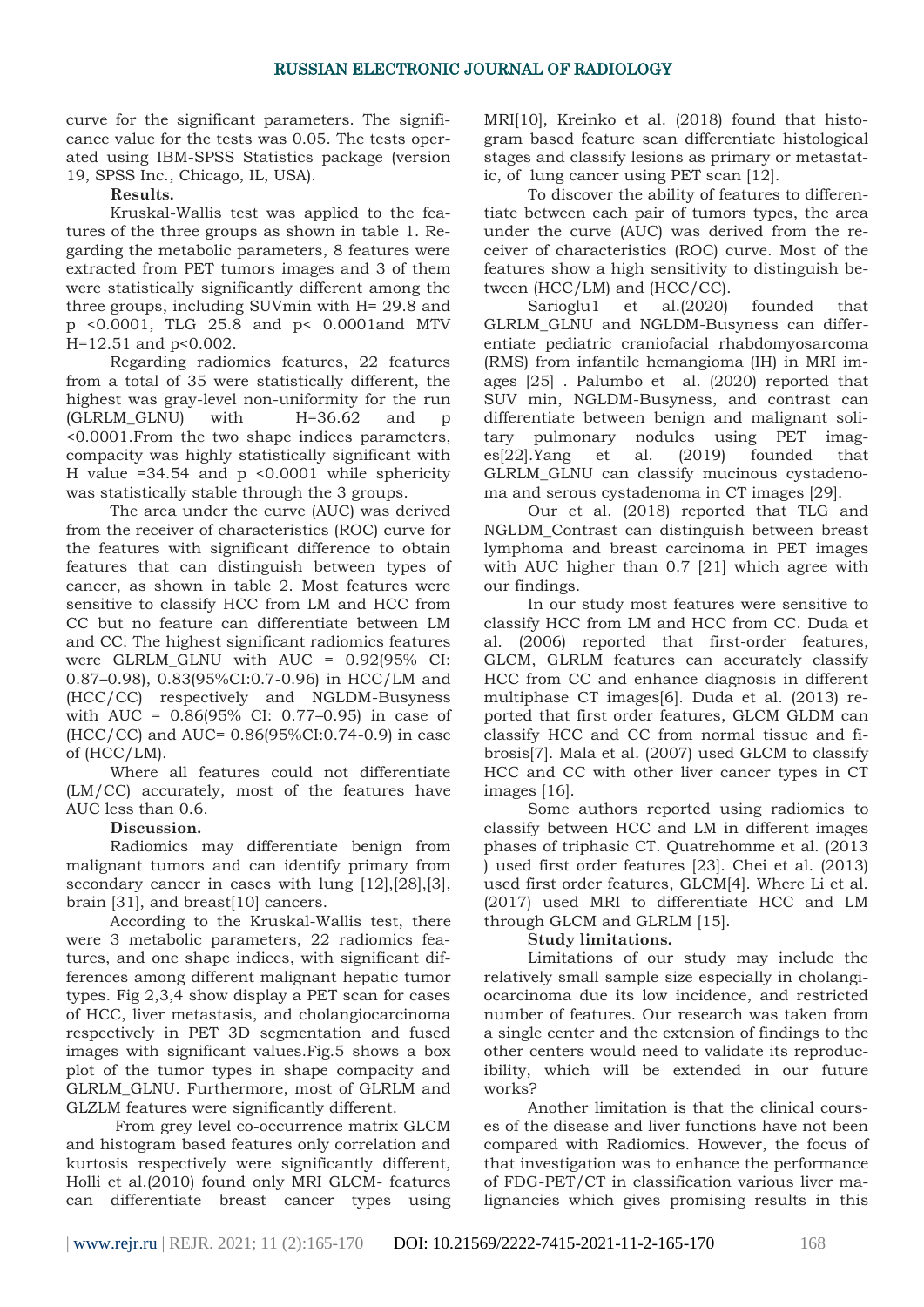curve for the significant parameters. The significance value for the tests was 0.05. The tests operated using IBM-SPSS Statistics package (version 19, SPSS Inc., Chicago, IL, USA).

**Results.**

Kruskal-Wallis test was applied to the features of the three groups as shown in table 1. Regarding the metabolic parameters, 8 features were extracted from PET tumors images and 3 of them were statistically significantly different among the three groups, including SUVmin with H= 29.8 and p <0.0001, TLG 25.8 and p< 0.0001and MTV H=12.51 and p<0.002.

Regarding radiomics features, 22 features from a total of 35 were statistically different, the highest was gray-level non-uniformity for the run  $(GLRLMGLNU)$  with  $H=36.62$  and p <0.0001.From the two shape indices parameters, compacity was highly statistically significant with H value  $=34.54$  and  $p \leq 0.0001$  while sphericity was statistically stable through the 3 groups.

The area under the curve (AUC) was derived from the receiver of characteristics (ROC) curve for the features with significant difference to obtain features that can distinguish between types of cancer, as shown in table 2. Most features were sensitive to classify HCC from LM and HCC from CC but no feature can differentiate between LM and CC. The highest significant radiomics features were GLRLM\_GLNU with AUC = 0.92(95% CI: 0.87–0.98), 0.83(95%CI:0.7-0.96) in HCC/LM and (HCC/CC) respectively and NGLDM-Busyness with AUC = 0.86(95% CI: 0.77–0.95) in case of (HCC/CC) and AUC= 0.86(95%CI:0.74-0.9) in case of (HCC/LM).

Where all features could not differentiate (LM/CC) accurately, most of the features have AUC less than 0.6.

# **Discussion.**

Radiomics may differentiate benign from malignant tumors and can identify primary from secondary cancer in cases with lung [12],[28],[3], brain [31], and breast[10] cancers.

According to the Kruskal-Wallis test, there were 3 metabolic parameters, 22 radiomics features, and one shape indices, with significant differences among different malignant hepatic tumor types. Fig 2,3,4 show display a PET scan for cases of HCC, liver metastasis, and cholangiocarcinoma respectively in PET 3D segmentation and fused images with significant values.Fig.5 shows a box plot of the tumor types in shape compacity and GLRLM\_GLNU. Furthermore, most of GLRLM and GLZLM features were significantly different.

From grey level co-occurrence matrix GLCM and histogram based features only correlation and kurtosis respectively were significantly different, Holli et al.(2010) found only MRI GLCM- features can differentiate breast cancer types using MRI[10], Kreinko et al. (2018) found that histogram based feature scan differentiate histological stages and classify lesions as primary or metastatic, of lung cancer using PET scan [12].

To discover the ability of features to differentiate between each pair of tumors types, the area under the curve (AUC) was derived from the receiver of characteristics (ROC) curve. Most of the features show a high sensitivity to distinguish between (HCC/LM) and (HCC/CC).

Sarioglu1 et al.(2020) founded that GLRLM\_GLNU and NGLDM-Busyness can differentiate pediatric craniofacial rhabdomyosarcoma (RMS) from infantile hemangioma (IH) in MRI images [25] . Palumbo et al. (2020) reported that SUV min, NGLDM-Busyness, and contrast can differentiate between benign and malignant solitary pulmonary nodules using PET images[22].Yang et al. (2019) founded that GLRLM\_GLNU can classify mucinous cystadenoma and serous cystadenoma in CT images [29].

Our et al. (2018) reported that TLG and NGLDM\_Contrast can distinguish between breast lymphoma and breast carcinoma in PET images with AUC higher than 0.7 [21] which agree with our findings.

In our study most features were sensitive to classify HCC from LM and HCC from CC. Duda et al. (2006) reported that first-order features, GLCM, GLRLM features can accurately classify HCC from CC and enhance diagnosis in different multiphase CT images[6]. Duda et al. (2013) reported that first order features, GLCM GLDM can classify HCC and CC from normal tissue and fibrosis[7]. Mala et al. (2007) used GLCM to classify HCC and CC with other liver cancer types in CT images [16].

Some authors reported using radiomics to classify between HCC and LM in different images phases of triphasic CT. Quatrehomme et al. (2013 ) used first order features [23]. Chei et al. (2013) used first order features, GLCM[4]. Where Li et al. (2017) used MRI to differentiate HCC and LM through GLCM and GLRLM [15].

## **Study limitations.**

Limitations of our study may include the relatively small sample size especially in cholangiocarcinoma due its low incidence, and restricted number of features. Our research was taken from a single center and the extension of findings to the other centers would need to validate its reproducibility, which will be extended in our future works?

Another limitation is that the clinical courses of the disease and liver functions have not been compared with Radiomics. However, the focus of that investigation was to enhance the performance of FDG-PET/CT in classification various liver malignancies which gives promising results in this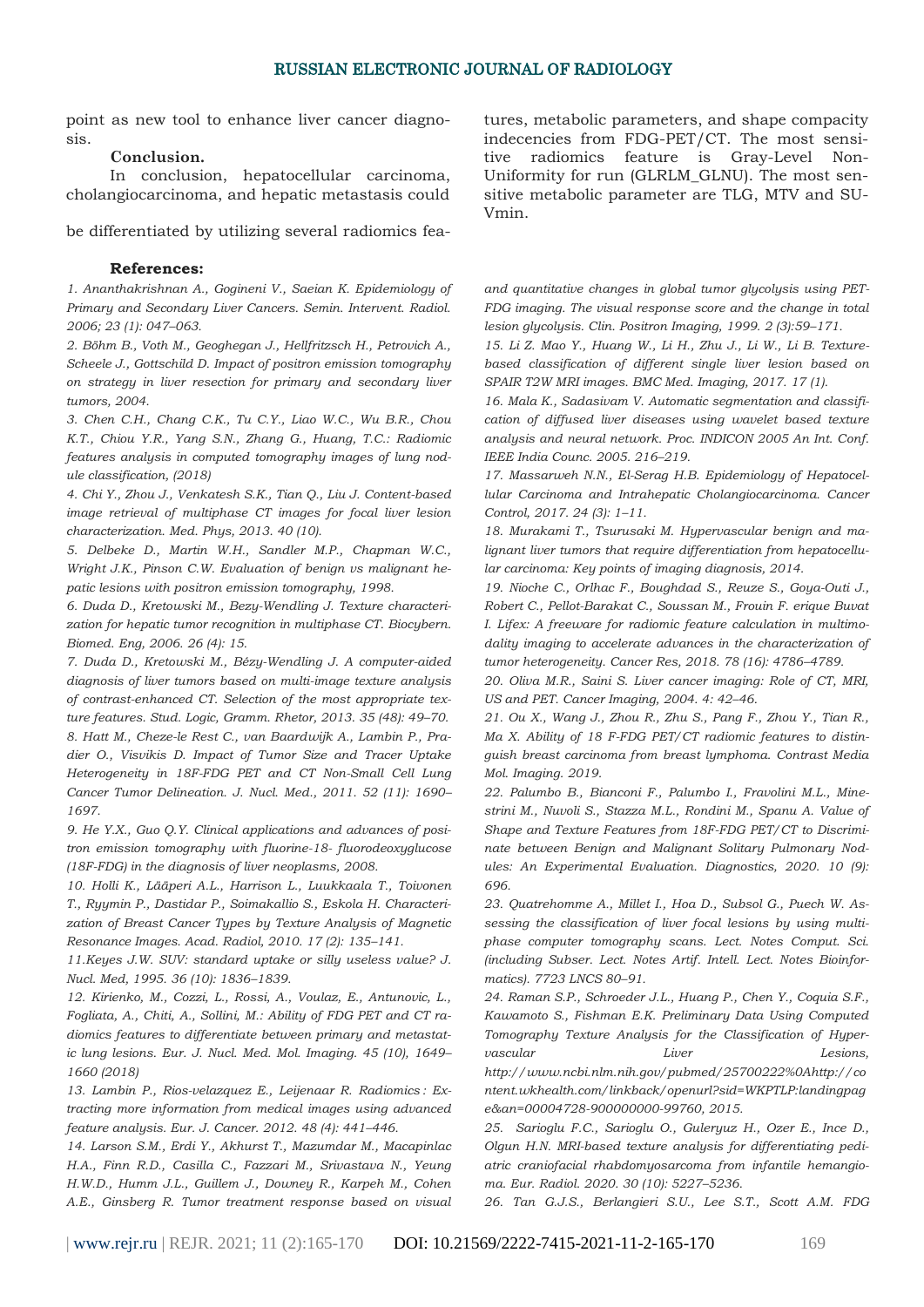point as new tool to enhance liver cancer diagnosis.

#### **Conclusion.**

In conclusion, hepatocellular carcinoma, cholangiocarcinoma, and hepatic metastasis could

be differentiated by utilizing several radiomics fea-

#### **References:**

*1. Ananthakrishnan A., Gogineni V., Saeian K. Epidemiology of Primary and Secondary Liver Cancers. Semin. Intervent. Radiol. 2006; 23 (1): 047–063.*

*2. Böhm B., Voth M., Geoghegan J., Hellfritzsch H., Petrovich A., Scheele J., Gottschild D. Impact of positron emission tomography on strategy in liver resection for primary and secondary liver tumors, 2004.*

*3. Chen C.H., Chang C.K., Tu C.Y., Liao W.C., Wu B.R., Chou K.T., Chiou Y.R., Yang S.N., Zhang G., Huang, T.C.: Radiomic features analysis in computed tomography images of lung nodule classification, (2018)*

*4. Chi Y., Zhou J., Venkatesh S.K., Tian Q., Liu J. Content-based image retrieval of multiphase CT images for focal liver lesion characterization. Med. Phys, 2013. 40 (10).*

*5. Delbeke D., Martin W.H., Sandler M.P., Chapman W.C., Wright J.K., Pinson C.W. Evaluation of benign vs malignant hepatic lesions with positron emission tomography, 1998.*

*6. Duda D., Kretowski M., Bezy-Wendling J. Texture characterization for hepatic tumor recognition in multiphase CT. Biocybern. Biomed. Eng, 2006. 26 (4): 15.*

*7. Duda D., Kretowski M., Bézy-Wendling J. A computer-aided diagnosis of liver tumors based on multi-image texture analysis of contrast-enhanced CT. Selection of the most appropriate texture features. Stud. Logic, Gramm. Rhetor, 2013. 35 (48): 49–70.* 

*8. Hatt M., Cheze-le Rest C., van Baardwijk A., Lambin P., Pradier O., Visvikis D. Impact of Tumor Size and Tracer Uptake Heterogeneity in 18F-FDG PET and CT Non-Small Cell Lung Cancer Tumor Delineation. J. Nucl. Med., 2011. 52 (11): 1690– 1697.*

*9. He Y.X., Guo Q.Y. Clinical applications and advances of positron emission tomography with fluorine-18- fluorodeoxyglucose (18F-FDG) in the diagnosis of liver neoplasms, 2008.*

*10. Holli K., Lääperi A.L., Harrison L., Luukkaala T., Toivonen T., Ryymin P., Dastidar P., Soimakallio S., Eskola H. Characterization of Breast Cancer Types by Texture Analysis of Magnetic Resonance Images. Acad. Radiol, 2010. 17 (2): 135–141.*

*11.Keyes J.W. SUV: standard uptake or silly useless value? J. Nucl. Med, 1995. 36 (10): 1836–1839.*

*12. Kirienko, M., Cozzi, L., Rossi, A., Voulaz, E., Antunovic, L., Fogliata, A., Chiti, A., Sollini, M.: Ability of FDG PET and CT radiomics features to differentiate between primary and metastatic lung lesions. Eur. J. Nucl. Med. Mol. Imaging. 45 (10), 1649– 1660 (2018)*

*13. Lambin P., Rios-velazquez E., Leijenaar R. Radiomics : Extracting more information from medical images using advanced feature analysis. Eur. J. Cancer. 2012. 48 (4): 441–446.*

*14. Larson S.M., Erdi Y., Akhurst T., Mazumdar M., Macapinlac H.A., Finn R.D., Casilla C., Fazzari M., Srivastava N., Yeung H.W.D., Humm J.L., Guillem J., Downey R., Karpeh M., Cohen A.E., Ginsberg R. Tumor treatment response based on visual* 

tures, metabolic parameters, and shape compacity indecencies from FDG-PET/CT. The most sensitive radiomics feature is Gray-Level Non-Uniformity for run (GLRLM\_GLNU). The most sensitive metabolic parameter are TLG, MTV and SU-Vmin.

*and quantitative changes in global tumor glycolysis using PET-FDG imaging. The visual response score and the change in total lesion glycolysis. Clin. Positron Imaging, 1999. 2 (3):59–171.*

*15. Li Z. Mao Y., Huang W., Li H., Zhu J., Li W., Li B. Texturebased classification of different single liver lesion based on SPAIR T2W MRI images. BMC Med. Imaging, 2017. 17 (1).*

*16. Mala K., Sadasivam V. Automatic segmentation and classification of diffused liver diseases using wavelet based texture analysis and neural network. Proc. INDICON 2005 An Int. Conf. IEEE India Counc. 2005. 216–219.*

*17. Massarweh N.N., El-Serag H.B. Epidemiology of Hepatocellular Carcinoma and Intrahepatic Cholangiocarcinoma. Cancer Control, 2017. 24 (3): 1–11.*

*18. Murakami T., Tsurusaki M. Hypervascular benign and malignant liver tumors that require differentiation from hepatocellular carcinoma: Key points of imaging diagnosis, 2014.*

*19. Nioche C., Orlhac F., Boughdad S., Reuze S., Goya-Outi J., Robert C., Pellot-Barakat C., Soussan M., Frouin F. erique Buvat I. Lifex: A freeware for radiomic feature calculation in multimodality imaging to accelerate advances in the characterization of tumor heterogeneity. Cancer Res, 2018. 78 (16): 4786–4789.*

*20. Oliva M.R., Saini S. Liver cancer imaging: Role of CT, MRI, US and PET. Cancer Imaging, 2004. 4: 42–46.*

*21. Ou X., Wang J., Zhou R., Zhu S., Pang F., Zhou Y., Tian R., Ma X. Ability of 18 F-FDG PET/CT radiomic features to distinguish breast carcinoma from breast lymphoma. Contrast Media Mol. Imaging. 2019.*

*22. Palumbo B., Bianconi F., Palumbo I., Fravolini M.L., Minestrini M., Nuvoli S., Stazza M.L., Rondini M., Spanu A. Value of Shape and Texture Features from 18F-FDG PET/CT to Discriminate between Benign and Malignant Solitary Pulmonary Nodules: An Experimental Evaluation. Diagnostics, 2020. 10 (9): 696.*

*23. Quatrehomme A., Millet I., Hoa D., Subsol G., Puech W. Assessing the classification of liver focal lesions by using multiphase computer tomography scans. Lect. Notes Comput. Sci. (including Subser. Lect. Notes Artif. Intell. Lect. Notes Bioinformatics). 7723 LNCS 80–91.*

*24. Raman S.P., Schroeder J.L., Huang P., Chen Y., Coquia S.F., Kawamoto S., Fishman E.K. Preliminary Data Using Computed Tomography Texture Analysis for the Classification of Hypervascular Liver Lesions, http://www.ncbi.nlm.nih.gov/pubmed/25700222%0Ahttp://co*

*ntent.wkhealth.com/linkback/openurl?sid=WKPTLP:landingpag e&an=00004728-900000000-99760, 2015.*

*25. Sarioglu F.C., Sarioglu O., Guleryuz H., Ozer E., Ince D., Olgun H.N. MRI-based texture analysis for differentiating pediatric craniofacial rhabdomyosarcoma from infantile hemangioma. Eur. Radiol. 2020. 30 (10): 5227–5236.*

*26. Tan G.J.S., Berlangieri S.U., Lee S.T., Scott A.M. FDG*